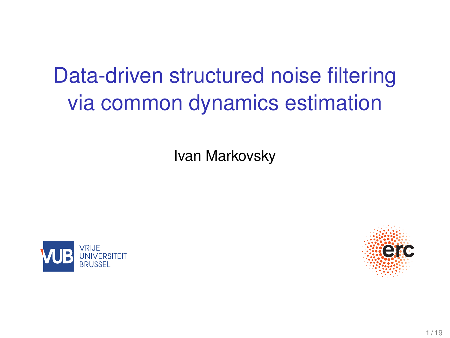# Data-driven structured noise filtering via common dynamics estimation

Ivan Markovsky



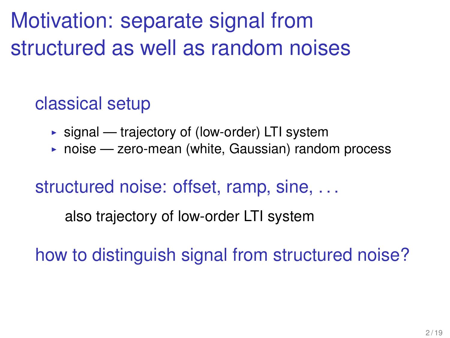Motivation: separate signal from structured as well as random noises

classical setup

- $\triangleright$  signal trajectory of (low-order) LTI system
- $\triangleright$  noise zero-mean (white, Gaussian) random process

structured noise: offset, ramp, sine, . . .

also trajectory of low-order LTI system

how to distinguish signal from structured noise?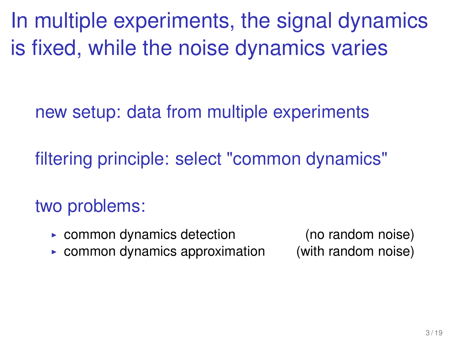In multiple experiments, the signal dynamics is fixed, while the noise dynamics varies

new setup: data from multiple experiments

filtering principle: select "common dynamics"

## two problems:

- $\triangleright$  common dynamics detection (no random noise)
- $\triangleright$  common dynamics approximation (with random noise)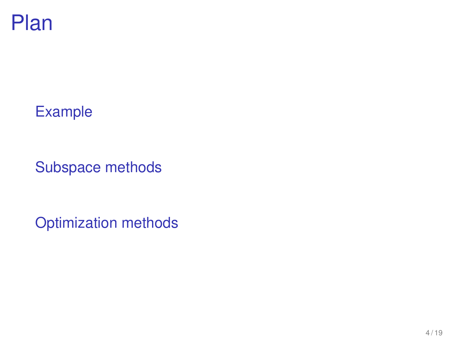Plan

[Example](#page-4-0)

[Subspace methods](#page-5-0)

[Optimization methods](#page-15-0)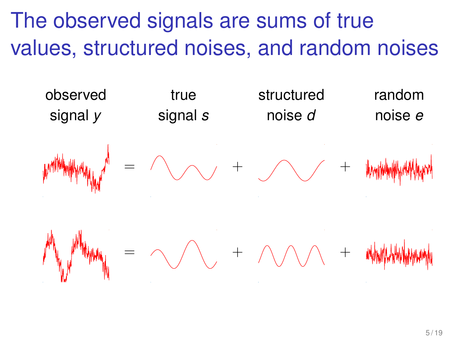<span id="page-4-0"></span>The observed signals are sums of true values, structured noises, and random noises

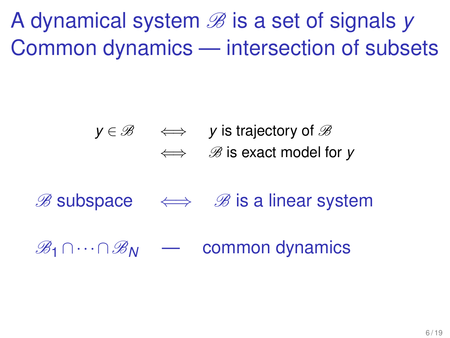<span id="page-5-0"></span>A dynamical system  $\mathscr B$  is a set of signals y Common dynamics — intersection of subsets

$$
y \in \mathscr{B} \quad \iff \quad y \text{ is trajectory of } \mathscr{B}
$$
\n
$$
\iff \quad \mathscr{B} \text{ is exact model for } y
$$

 $\mathscr{B}$  subspace  $\iff$   $\mathscr{B}$  is a linear system

 $\mathscr{B}_1 \cap \cdots \cap \mathscr{B}_N$  — common dynamics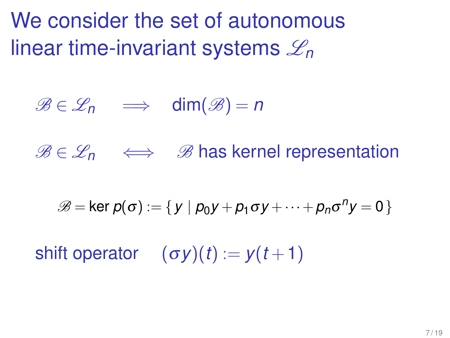We consider the set of autonomous linear time-invariant systems  $\mathscr{L}_n$ 

 $\mathscr{B} \in \mathscr{L}_n \implies \dim(\mathscr{B}) = n$ 

 $\mathscr{B} \in \mathscr{L}_n \iff \mathscr{B}$  has kernel representation

$$
\mathscr{B} = \ker p(\sigma) := \{ y \mid p_0 y + p_1 \sigma y + \cdots + p_n \sigma^n y = 0 \}
$$

shift operator  $(\sigma v)(t) := v(t+1)$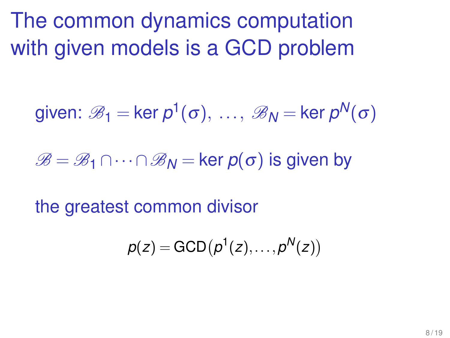The common dynamics computation with given models is a GCD problem

given:  $\mathscr{B}_1 = \mathsf{ker} \, p^1(\sigma), \, \ldots, \, \mathscr{B}_N = \mathsf{ker} \, p^N(\sigma)$ 

 $B = B_1 \cap \cdots \cap B_N = \text{ker } p(\sigma)$  is given by

the greatest common divisor

$$
p(z) = GCD(p1(z), \ldots, pN(z))
$$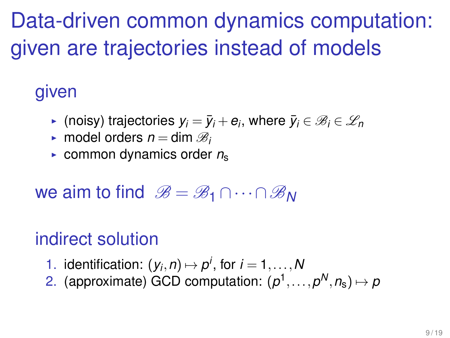Data-driven common dynamics computation: given are trajectories instead of models

# given

- $\blacktriangleright$  (noisy) trajectories  $y_i = \bar{y}_i + \bm{e}_i,$  where  $\bar{y}_i \in \mathscr{B}_i \in \mathscr{L}_n$
- **I** model orders  $n = \dim \mathcal{B}_i$
- $\triangleright$  common dynamics order  $n_s$

we aim to find  $\mathscr{B} = \mathscr{B}_1 \cap \cdots \cap \mathscr{B}_N$ 

# indirect solution

- 1. identification:  $(y_i, n) \mapsto p^i$ , for  $i = 1, \ldots, N$
- 2. (approximate) GCD computation:  $(\rho^1,\ldots,\rho^N,n_{\mathsf{s}}) \mapsto \rho$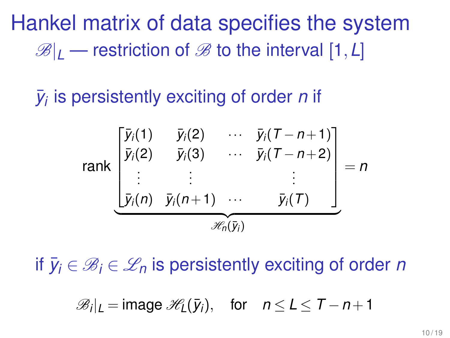Hankel matrix of data specifies the system  $\mathscr{B}|_I$  — restriction of  $\mathscr{B}$  to the interval [1, L]

 $\bar{y}_i$  is persistently exciting of order *n* if



if  $\bar{v}_i \in \mathscr{B}_i \in \mathscr{L}_n$  is persistently exciting of order *n* 

 $\mathscr{B}_i|_L = \text{image } \mathscr{H}_L(\bar{y}_i), \quad \text{for} \quad n \le L \le T - n + 1$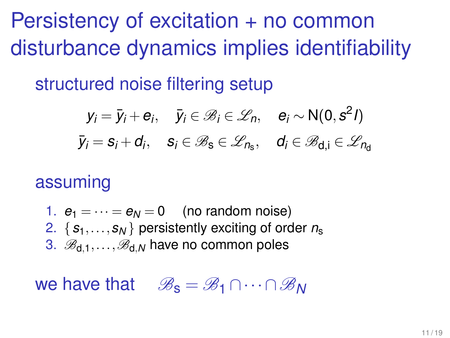Persistency of excitation + no common disturbance dynamics implies identifiability

structured noise filtering setup

$$
y_i = \bar{y}_i + e_i, \quad \bar{y}_i \in \mathscr{B}_i \in \mathscr{L}_n, \quad e_i \sim \mathsf{N}(0, s^2 I)
$$
  

$$
\bar{y}_i = s_i + d_i, \quad s_i \in \mathscr{B}_s \in \mathscr{L}_{n_s}, \quad d_i \in \mathscr{B}_{d,i} \in \mathscr{L}_{n_d}
$$

#### assuming

1.  $e_1 = \cdots = e_N = 0$  (no random noise) 2.  $\{s_1, \ldots, s_N\}$  persistently exciting of order  $n_s$ 3.  $\mathscr{B}_{d,1},\ldots,\mathscr{B}_{d,N}$  have no common poles

we have that  $\mathscr{B}_s = \mathscr{B}_1 \cap \cdots \cap \mathscr{B}_N$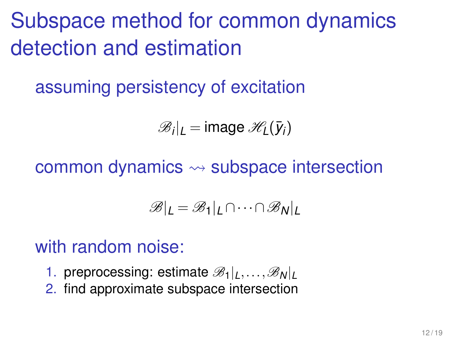# Subspace method for common dynamics detection and estimation

assuming persistency of excitation

$$
\mathscr{B}_i|_L = \text{image } \mathscr{H}_L(\bar{y}_i)
$$

### common dynamics  $\rightsquigarrow$  subspace intersection

$$
\mathscr{B}|_L = \mathscr{B}_1|_L \cap \cdots \cap \mathscr{B}_N|_L
$$

### with random noise:

- 1. preprocessing: estimate  $\mathscr{B}_1|_L,\ldots,\mathscr{B}_N|_L$
- 2. find approximate subspace intersection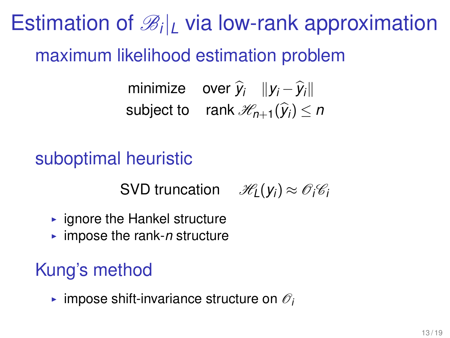# Estimation of  $\mathscr{B}_i|_L$  via low-rank approximation

### maximum likelihood estimation problem

minimize over  $\hat{v}_i$   $||y_i - \hat{y}_i||$  $\textsf{subject to} \quad \textsf{rank}\ \mathscr{H}_{n+1}(\widehat{\mathsf{y}}_i) \leq n$ 

suboptimal heuristic

 $\mathsf{SVD}$  truncation  $\mathscr{H}_{\mathsf{L}}(\mathsf{y}_i) \approx \mathscr{O}_i \mathscr{C}_i$ 

- $\blacktriangleright$  ignore the Hankel structure
- $\blacktriangleright$  impose the rank-*n* structure

# Kung's method

impose shift-invariance structure on  $\mathscr{O}_i$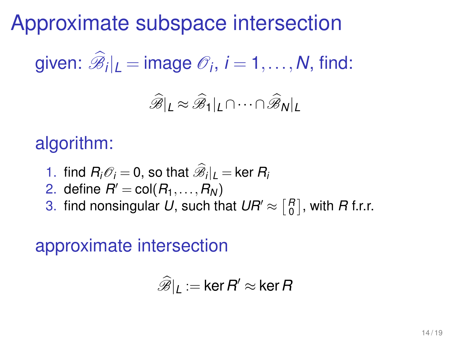Approximate subspace intersection

given:  $\mathscr{B}_i|_L$  = image  $\mathscr{O}_i$ ,  $i = 1, ..., N$ , find:

$$
\widehat{\mathscr{B}}|_{L} \approx \widehat{\mathscr{B}}_{1}|_{L} \cap \cdots \cap \widehat{\mathscr{B}}_{N}|_{L}
$$

### algorithm:

- 1. find  $R_i \mathcal{O}_i = 0$ , so that  $\mathcal{B}_i|_L = \text{ker } R_i$
- 2. define  $R' = col(R_1, \ldots, R_N)$
- 3. find nonsingular U, such that  $\mathit{UH}'\approx \left[ \begin{smallmatrix}R\0 \end{smallmatrix} \right],$  with  $R$  f.r.r.

### approximate intersection

$$
\widehat{\mathscr{B}}|_L:=\ker R'\approx \ker R
$$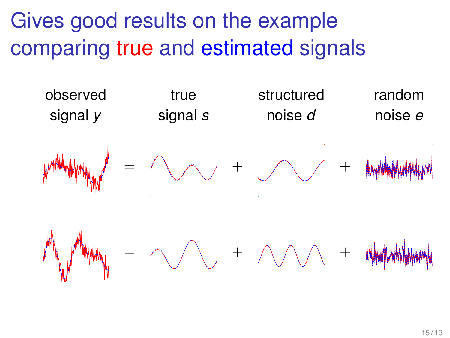Gives good results on the example comparing true and estimated signals

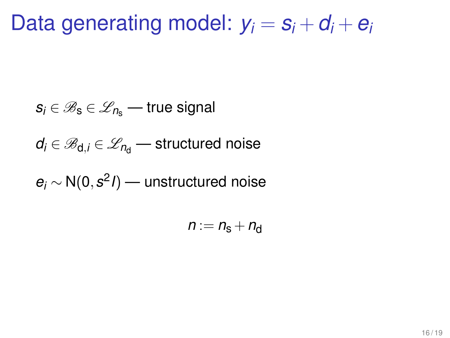<span id="page-15-0"></span>Data generating model:  $y_i = s_i + d_i + e_i$ 

$$
s_i \in \mathscr{B}_s \in \mathscr{L}_{n_s} \text{ -- true signal}
$$

 $d_i \in \mathscr{B}_{d,i} \in \mathscr{L}_{n_d}$  — structured noise

*e<sup>i</sup>* ∼ N(0,*s* 2 *I*) — unstructured noise

$$
n:=n_{\rm s}+n_{\rm d}
$$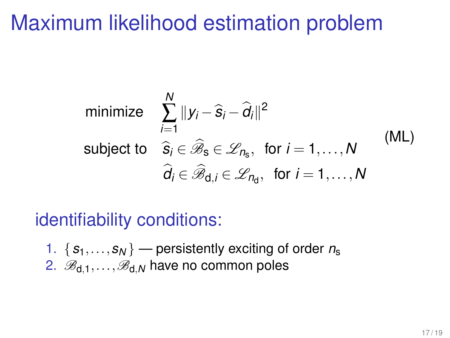# Maximum likelihood estimation problem

minimize 
$$
\sum_{i=1}^{N} ||y_i - \hat{s}_i - \hat{d}_i||^2
$$
  
\nsubject to  $\hat{s}_i \in \hat{\mathcal{B}}_s \in \mathcal{L}_{n_s}$ , for  $i = 1,..., N$   
\n $\hat{d}_i \in \hat{\mathcal{B}}_{d,i} \in \mathcal{L}_{n_d}$ , for  $i = 1,..., N$ 

### identifiability conditions:

1.  $\{s_1,...,s_N\}$  — persistently exciting of order  $n_s$ 2.  $\mathscr{B}_{d,1},\ldots,\mathscr{B}_{d,N}$  have no common poles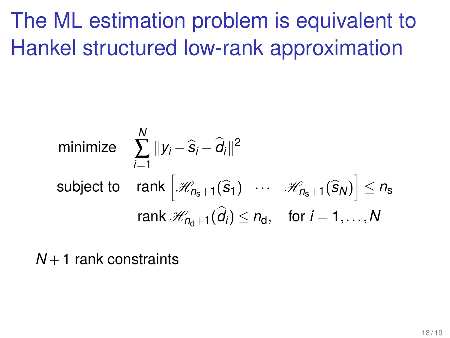The ML estimation problem is equivalent to Hankel structured low-rank approximation

minimize 
$$
\sum_{i=1}^{N} ||y_i - \hat{s}_i - \hat{d}_i||^2
$$
  
subject to 
$$
\text{rank} \left[ \mathcal{H}_{n_s+1}(\hat{s}_1) \cdots \mathcal{H}_{n_s+1}(\hat{s}_N) \right] \le n_s
$$

$$
\text{rank } \mathcal{H}_{n_d+1}(\hat{d}_i) \le n_d, \text{ for } i = 1, ..., N
$$

 $N+1$  rank constraints